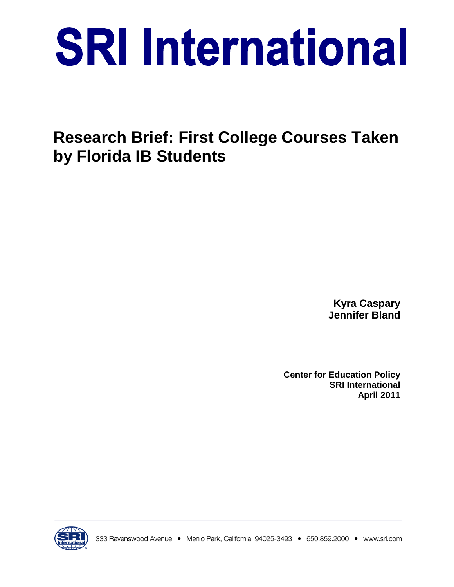# **SRI International**

**Research Brief: First College Courses Taken by Florida IB Students**

> **Kyra Caspary Jennifer Bland**

**Center for Education Policy SRI International April 2011**

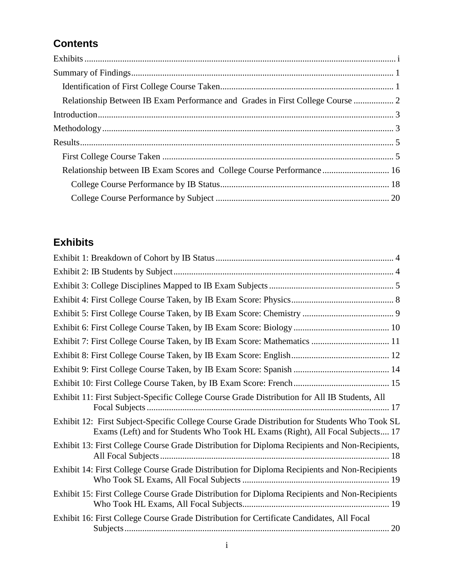# **Contents**

| Relationship Between IB Exam Performance and Grades in First College Course  2 |
|--------------------------------------------------------------------------------|
|                                                                                |
|                                                                                |
|                                                                                |
|                                                                                |
| Relationship between IB Exam Scores and College Course Performance 16          |
|                                                                                |
|                                                                                |
|                                                                                |

# <span id="page-2-0"></span>**Exhibits**

| Exhibit 7: First College Course Taken, by IB Exam Score: Mathematics  11                                                                                                        |
|---------------------------------------------------------------------------------------------------------------------------------------------------------------------------------|
|                                                                                                                                                                                 |
|                                                                                                                                                                                 |
|                                                                                                                                                                                 |
| Exhibit 11: First Subject-Specific College Course Grade Distribution for All IB Students, All                                                                                   |
| Exhibit 12: First Subject-Specific College Course Grade Distribution for Students Who Took SL<br>Exams (Left) and for Students Who Took HL Exams (Right), All Focal Subjects 17 |
| Exhibit 13: First College Course Grade Distribution for Diploma Recipients and Non-Recipients,                                                                                  |
| Exhibit 14: First College Course Grade Distribution for Diploma Recipients and Non-Recipients                                                                                   |
| Exhibit 15: First College Course Grade Distribution for Diploma Recipients and Non-Recipients                                                                                   |
| Exhibit 16: First College Course Grade Distribution for Certificate Candidates, All Focal                                                                                       |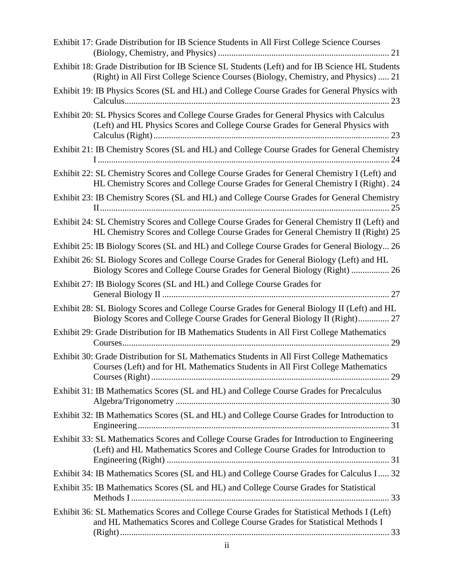| Exhibit 17: Grade Distribution for IB Science Students in All First College Science Courses                                                                                           |
|---------------------------------------------------------------------------------------------------------------------------------------------------------------------------------------|
| Exhibit 18: Grade Distribution for IB Science SL Students (Left) and for IB Science HL Students<br>(Right) in All First College Science Courses (Biology, Chemistry, and Physics)  21 |
| Exhibit 19: IB Physics Scores (SL and HL) and College Course Grades for General Physics with                                                                                          |
| Exhibit 20: SL Physics Scores and College Course Grades for General Physics with Calculus<br>(Left) and HL Physics Scores and College Course Grades for General Physics with          |
| Exhibit 21: IB Chemistry Scores (SL and HL) and College Course Grades for General Chemistry                                                                                           |
| Exhibit 22: SL Chemistry Scores and College Course Grades for General Chemistry I (Left) and<br>HL Chemistry Scores and College Course Grades for General Chemistry I (Right). 24     |
| Exhibit 23: IB Chemistry Scores (SL and HL) and College Course Grades for General Chemistry                                                                                           |
| Exhibit 24: SL Chemistry Scores and College Course Grades for General Chemistry II (Left) and<br>HL Chemistry Scores and College Course Grades for General Chemistry II (Right) 25    |
| Exhibit 25: IB Biology Scores (SL and HL) and College Course Grades for General Biology 26                                                                                            |
| Exhibit 26: SL Biology Scores and College Course Grades for General Biology (Left) and HL<br>Biology Scores and College Course Grades for General Biology (Right)  26                 |
| Exhibit 27: IB Biology Scores (SL and HL) and College Course Grades for                                                                                                               |
| Exhibit 28: SL Biology Scores and College Course Grades for General Biology II (Left) and HL<br>Biology Scores and College Course Grades for General Biology II (Right) 27            |
| Exhibit 29: Grade Distribution for IB Mathematics Students in All First College Mathematics                                                                                           |
| Exhibit 30: Grade Distribution for SL Mathematics Students in All First College Mathematics<br>Courses (Left) and for HL Mathematics Students in All First College Mathematics        |
| Exhibit 31: IB Mathematics Scores (SL and HL) and College Course Grades for Precalculus                                                                                               |
| Exhibit 32: IB Mathematics Scores (SL and HL) and College Course Grades for Introduction to                                                                                           |
| Exhibit 33: SL Mathematics Scores and College Course Grades for Introduction to Engineering<br>(Left) and HL Mathematics Scores and College Course Grades for Introduction to         |
| Exhibit 34: IB Mathematics Scores (SL and HL) and College Course Grades for Calculus I 32                                                                                             |
| Exhibit 35: IB Mathematics Scores (SL and HL) and College Course Grades for Statistical                                                                                               |
| Exhibit 36: SL Mathematics Scores and College Course Grades for Statistical Methods I (Left)<br>and HL Mathematics Scores and College Course Grades for Statistical Methods I         |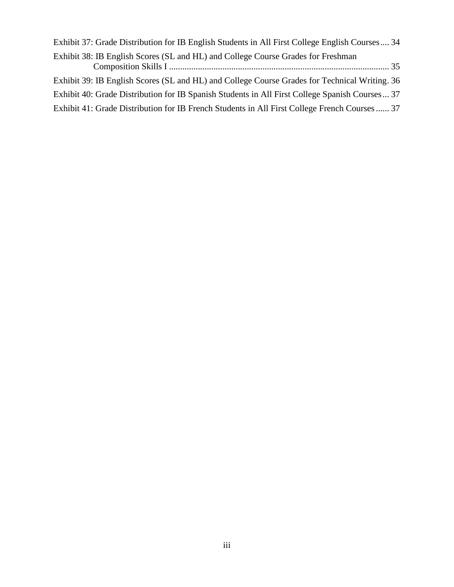| Exhibit 37: Grade Distribution for IB English Students in All First College English Courses 34  |
|-------------------------------------------------------------------------------------------------|
| Exhibit 38: IB English Scores (SL and HL) and College Course Grades for Freshman                |
| Exhibit 39: IB English Scores (SL and HL) and College Course Grades for Technical Writing. 36   |
| Exhibit 40: Grade Distribution for IB Spanish Students in All First College Spanish Courses  37 |
| Exhibit 41: Grade Distribution for IB French Students in All First College French Courses 37    |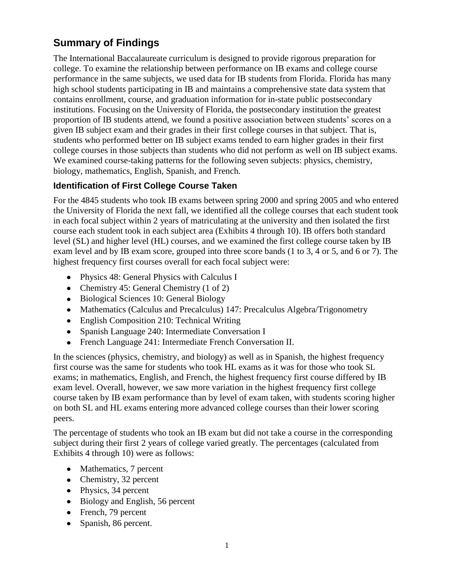# <span id="page-6-0"></span>**Summary of Findings**

The International Baccalaureate curriculum is designed to provide rigorous preparation for college. To examine the relationship between performance on IB exams and college course performance in the same subjects, we used data for IB students from Florida. Florida has many high school students participating in IB and maintains a comprehensive state data system that contains enrollment, course, and graduation information for in-state public postsecondary institutions. Focusing on the University of Florida, the postsecondary institution the greatest proportion of IB students attend, we found a positive association between students' scores on a given IB subject exam and their grades in their first college courses in that subject. That is, students who performed better on IB subject exams tended to earn higher grades in their first college courses in those subjects than students who did not perform as well on IB subject exams. We examined course-taking patterns for the following seven subjects: physics, chemistry, biology, mathematics, English, Spanish, and French.

# <span id="page-6-1"></span>**Identification of First College Course Taken**

For the 4845 students who took IB exams between spring 2000 and spring 2005 and who entered the University of Florida the next fall, we identified all the college courses that each student took in each focal subject within 2 years of matriculating at the university and then isolated the first course each student took in each subject area (Exhibits 4 through 10). IB offers both standard level (SL) and higher level (HL) courses, and we examined the first college course taken by IB exam level and by IB exam score, grouped into three score bands (1 to 3, 4 or 5, and 6 or 7). The highest frequency first courses overall for each focal subject were:

- Physics 48: General Physics with Calculus I
- Chemistry 45: General Chemistry (1 of 2)
- Biological Sciences 10: General Biology
- Mathematics (Calculus and Precalculus) 147: Precalculus Algebra/Trigonometry
- English Composition 210: Technical Writing
- Spanish Language 240: Intermediate Conversation I
- French Language 241: Intermediate French Conversation II.

In the sciences (physics, chemistry, and biology) as well as in Spanish, the highest frequency first course was the same for students who took HL exams as it was for those who took SL exams; in mathematics, English, and French, the highest frequency first course differed by IB exam level. Overall, however, we saw more variation in the highest frequency first college course taken by IB exam performance than by level of exam taken, with students scoring higher on both SL and HL exams entering more advanced college courses than their lower scoring peers.

The percentage of students who took an IB exam but did not take a course in the corresponding subject during their first 2 years of college varied greatly. The percentages (calculated from Exhibits 4 through 10) were as follows:

- Mathematics, 7 percent
- Chemistry, 32 percent
- Physics, 34 percent
- Biology and English, 56 percent
- French, 79 percent
- Spanish, 86 percent.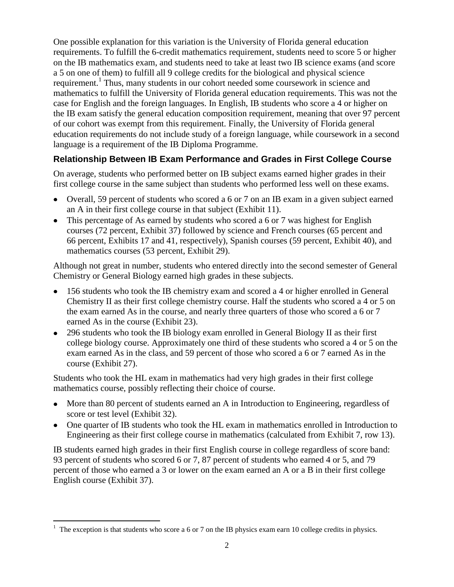One possible explanation for this variation is the University of Florida general education requirements. To fulfill the 6-credit mathematics requirement, students need to score 5 or higher on the IB mathematics exam, and students need to take at least two IB science exams (and score a 5 on one of them) to fulfill all 9 college credits for the biological and physical science requirement.<sup>1</sup> Thus, many students in our cohort needed some coursework in science and mathematics to fulfill the University of Florida general education requirements. This was not the case for English and the foreign languages. In English, IB students who score a 4 or higher on the IB exam satisfy the general education composition requirement, meaning that over 97 percent of our cohort was exempt from this requirement. Finally, the University of Florida general education requirements do not include study of a foreign language, while coursework in a second language is a requirement of the IB Diploma Programme.

# <span id="page-7-0"></span>**Relationship Between IB Exam Performance and Grades in First College Course**

On average, students who performed better on IB subject exams earned higher grades in their first college course in the same subject than students who performed less well on these exams.

- Overall, 59 percent of students who scored a 6 or 7 on an IB exam in a given subject earned an A in their first college course in that subject (Exhibit 11).
- This percentage of As earned by students who scored a 6 or 7 was highest for English courses (72 percent, Exhibit 37) followed by science and French courses (65 percent and 66 percent, Exhibits 17 and 41, respectively), Spanish courses (59 percent, Exhibit 40), and mathematics courses (53 percent, Exhibit 29).

Although not great in number, students who entered directly into the second semester of General Chemistry or General Biology earned high grades in these subjects.

- 156 students who took the IB chemistry exam and scored a 4 or higher enrolled in General Chemistry II as their first college chemistry course. Half the students who scored a 4 or 5 on the exam earned As in the course, and nearly three quarters of those who scored a 6 or 7 earned As in the course (Exhibit 23).
- 296 students who took the IB biology exam enrolled in General Biology II as their first college biology course. Approximately one third of these students who scored a 4 or 5 on the exam earned As in the class, and 59 percent of those who scored a 6 or 7 earned As in the course (Exhibit 27).

Students who took the HL exam in mathematics had very high grades in their first college mathematics course, possibly reflecting their choice of course.

- More than 80 percent of students earned an A in Introduction to Engineering, regardless of score or test level (Exhibit 32).
- One quarter of IB students who took the HL exam in mathematics enrolled in Introduction to Engineering as their first college course in mathematics (calculated from Exhibit 7, row 13).

IB students earned high grades in their first English course in college regardless of score band: 93 percent of students who scored 6 or 7, 87 percent of students who earned 4 or 5, and 79 percent of those who earned a 3 or lower on the exam earned an A or a B in their first college English course (Exhibit 37).

 $\overline{a}$ 

<sup>&</sup>lt;sup>1</sup> The exception is that students who score a 6 or 7 on the IB physics exam earn 10 college credits in physics.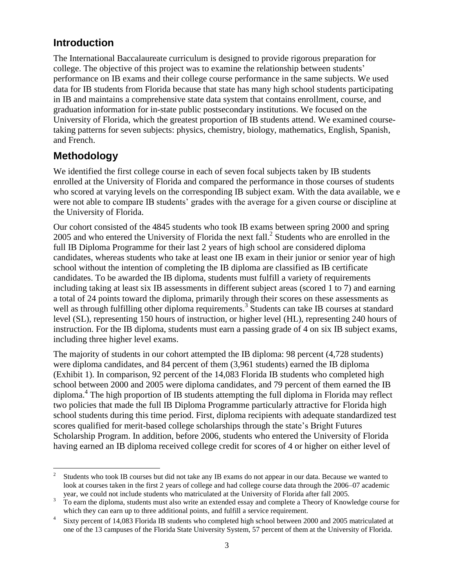# <span id="page-8-0"></span>**Introduction**

The International Baccalaureate curriculum is designed to provide rigorous preparation for college. The objective of this project was to examine the relationship between students' performance on IB exams and their college course performance in the same subjects. We used data for IB students from Florida because that state has many high school students participating in IB and maintains a comprehensive state data system that contains enrollment, course, and graduation information for in-state public postsecondary institutions. We focused on the University of Florida, which the greatest proportion of IB students attend. We examined coursetaking patterns for seven subjects: physics, chemistry, biology, mathematics, English, Spanish, and French.

# <span id="page-8-1"></span>**Methodology**

We identified the first college course in each of seven focal subjects taken by IB students enrolled at the University of Florida and compared the performance in those courses of students who scored at varying levels on the corresponding IB subject exam. With the data available, we e were not able to compare IB students' grades with the average for a given course or discipline at the University of Florida.

Our cohort consisted of the 4845 students who took IB exams between spring 2000 and spring 2005 and who entered the University of Florida the next fall.<sup>2</sup> Students who are enrolled in the full IB Diploma Programme for their last 2 years of high school are considered diploma candidates, whereas students who take at least one IB exam in their junior or senior year of high school without the intention of completing the IB diploma are classified as IB certificate candidates. To be awarded the IB diploma, students must fulfill a variety of requirements including taking at least six IB assessments in different subject areas (scored 1 to 7) and earning a total of 24 points toward the diploma, primarily through their scores on these assessments as well as through fulfilling other diploma requirements.<sup>3</sup> Students can take IB courses at standard level (SL), representing 150 hours of instruction, or higher level (HL), representing 240 hours of instruction. For the IB diploma, students must earn a passing grade of 4 on six IB subject exams, including three higher level exams.

The majority of students in our cohort attempted the IB diploma: 98 percent (4,728 students) were diploma candidates, and 84 percent of them (3,961 students) earned the IB diploma (Exhibit 1). In comparison, 92 percent of the 14,083 Florida IB students who completed high school between 2000 and 2005 were diploma candidates, and 79 percent of them earned the IB diploma.<sup>4</sup> The high proportion of IB students attempting the full diploma in Florida may reflect two policies that made the full IB Diploma Programme particularly attractive for Florida high school students during this time period. First, diploma recipients with adequate standardized test scores qualified for merit-based college scholarships through the state's Bright Futures Scholarship Program. In addition, before 2006, students who entered the University of Florida having earned an IB diploma received college credit for scores of 4 or higher on either level of

 $\frac{1}{2}$ Students who took IB courses but did not take any IB exams do not appear in our data. Because we wanted to look at courses taken in the first 2 years of college and had college course data through the 2006–07 academic year, we could not include students who matriculated at the University of Florida after fall 2005.

<sup>&</sup>lt;sup>3</sup> To earn the diploma, students must also write an extended essay and complete a Theory of Knowledge course for which they can earn up to three additional points, and fulfill a service requirement.

<sup>4</sup> Sixty percent of 14,083 Florida IB students who completed high school between 2000 and 2005 matriculated at one of the 13 campuses of the Florida State University System, 57 percent of them at the University of Florida.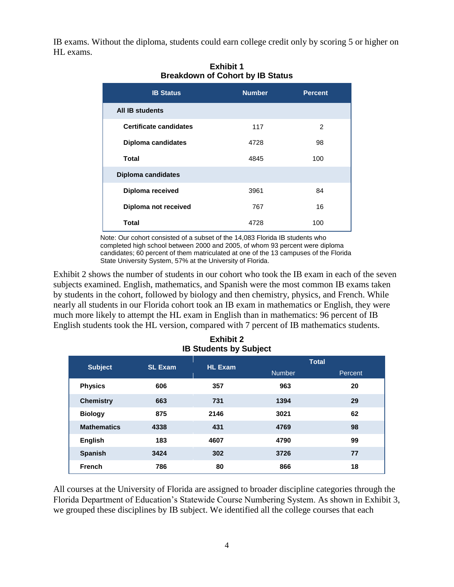<span id="page-9-0"></span>IB exams. Without the diploma, students could earn college credit only by scoring 5 or higher on HL exams.

| <b>IB Status</b>              | <b>Number</b> | <b>Percent</b> |
|-------------------------------|---------------|----------------|
| <b>All IB students</b>        |               |                |
| <b>Certificate candidates</b> | 117           | 2              |
| <b>Diploma candidates</b>     | 4728          | 98             |
| <b>Total</b>                  | 4845          | 100            |
| <b>Diploma candidates</b>     |               |                |
| Diploma received              | 3961          | 84             |
| Diploma not received          | 767           | 16             |
| <b>Total</b>                  | 4728          | 100            |

**Exhibit 1 Breakdown of Cohort by IB Status**

Note: Our cohort consisted of a subset of the 14,083 Florida IB students who completed high school between 2000 and 2005, of whom 93 percent were diploma candidates; 60 percent of them matriculated at one of the 13 campuses of the Florida State University System, 57% at the University of Florida.

Exhibit 2 shows the number of students in our cohort who took the IB exam in each of the seven subjects examined. English, mathematics, and Spanish were the most common IB exams taken by students in the cohort, followed by biology and then chemistry, physics, and French. While nearly all students in our Florida cohort took an IB exam in mathematics or English, they were much more likely to attempt the HL exam in English than in mathematics: 96 percent of IB English students took the HL version, compared with 7 percent of IB mathematics students.

<span id="page-9-1"></span>

| <b>Subject</b>     | <b>SL Exam</b> | <b>HL Exam</b> | <b>Total</b>  |         |
|--------------------|----------------|----------------|---------------|---------|
|                    |                |                | <b>Number</b> | Percent |
| <b>Physics</b>     | 606            | 357            | 963           | 20      |
| <b>Chemistry</b>   | 663            | 731            | 1394          | 29      |
| <b>Biology</b>     | 875            | 2146           | 3021          | 62      |
| <b>Mathematics</b> | 4338           | 431            | 4769          | 98      |
| <b>English</b>     | 183            | 4607           | 4790          | 99      |
| <b>Spanish</b>     | 3424           | 302            | 3726          | 77      |
| <b>French</b>      | 786            | 80             | 866           | 18      |

| <b>Exhibit 2</b>              |  |
|-------------------------------|--|
| <b>IB Students by Subject</b> |  |

All courses at the University of Florida are assigned to broader discipline categories through the Florida Department of Education's Statewide Course Numbering System. As shown in Exhibit 3, we grouped these disciplines by IB subject. We identified all the college courses that each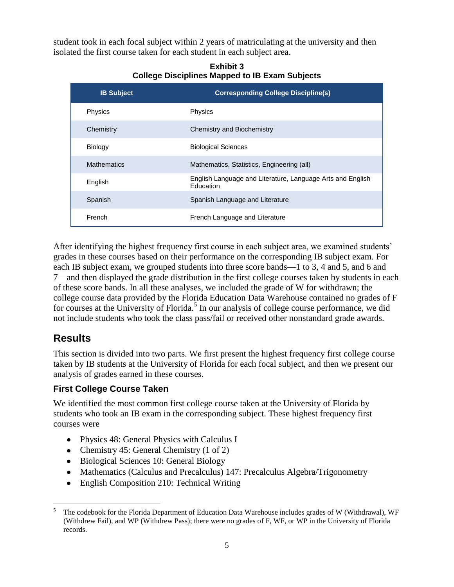<span id="page-10-2"></span>student took in each focal subject within 2 years of matriculating at the university and then isolated the first course taken for each student in each subject area.

| <b>IB Subject</b>  | <b>Corresponding College Discipline(s)</b>                              |
|--------------------|-------------------------------------------------------------------------|
| Physics            | Physics                                                                 |
| Chemistry          | <b>Chemistry and Biochemistry</b>                                       |
| <b>Biology</b>     | <b>Biological Sciences</b>                                              |
| <b>Mathematics</b> | Mathematics, Statistics, Engineering (all)                              |
| English            | English Language and Literature, Language Arts and English<br>Education |
| Spanish            | Spanish Language and Literature                                         |
| French             | French Language and Literature                                          |

**Exhibit 3 College Disciplines Mapped to IB Exam Subjects**

After identifying the highest frequency first course in each subject area, we examined students' grades in these courses based on their performance on the corresponding IB subject exam. For each IB subject exam, we grouped students into three score bands—1 to 3, 4 and 5, and 6 and 7—and then displayed the grade distribution in the first college courses taken by students in each of these score bands. In all these analyses, we included the grade of W for withdrawn; the college course data provided by the Florida Education Data Warehouse contained no grades of F for courses at the University of Florida.<sup>5</sup> In our analysis of college course performance, we did not include students who took the class pass/fail or received other nonstandard grade awards.

# <span id="page-10-0"></span>**Results**

This section is divided into two parts. We first present the highest frequency first college course taken by IB students at the University of Florida for each focal subject, and then we present our analysis of grades earned in these courses.

# <span id="page-10-1"></span>**First College Course Taken**

We identified the most common first college course taken at the University of Florida by students who took an IB exam in the corresponding subject. These highest frequency first courses were

- Physics 48: General Physics with Calculus I
- Chemistry 45: General Chemistry (1 of 2)
- Biological Sciences 10: General Biology
- Mathematics (Calculus and Precalculus) 147: Precalculus Algebra/Trigonometry
- English Composition 210: Technical Writing  $\bullet$

<sup>5</sup> <sup>5</sup> The codebook for the Florida Department of Education Data Warehouse includes grades of W (Withdrawal), WF (Withdrew Fail), and WP (Withdrew Pass); there were no grades of F, WF, or WP in the University of Florida records.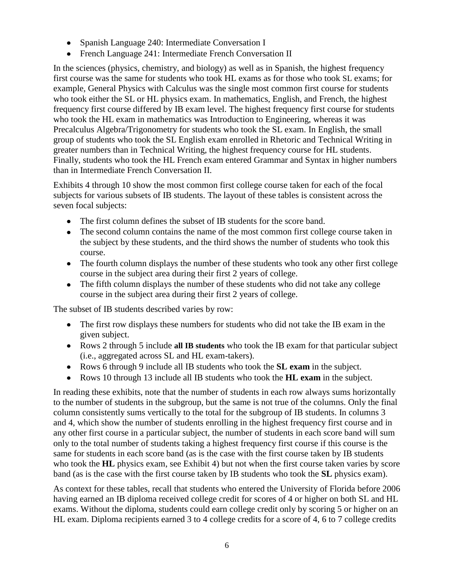- Spanish Language 240: Intermediate Conversation I
- French Language 241: Intermediate French Conversation II

In the sciences (physics, chemistry, and biology) as well as in Spanish, the highest frequency first course was the same for students who took HL exams as for those who took SL exams; for example, General Physics with Calculus was the single most common first course for students who took either the SL or HL physics exam. In mathematics, English, and French, the highest frequency first course differed by IB exam level. The highest frequency first course for students who took the HL exam in mathematics was Introduction to Engineering, whereas it was Precalculus Algebra/Trigonometry for students who took the SL exam. In English, the small group of students who took the SL English exam enrolled in Rhetoric and Technical Writing in greater numbers than in Technical Writing, the highest frequency course for HL students. Finally, students who took the HL French exam entered Grammar and Syntax in higher numbers than in Intermediate French Conversation II.

Exhibits 4 through 10 show the most common first college course taken for each of the focal subjects for various subsets of IB students. The layout of these tables is consistent across the seven focal subjects:

- The first column defines the subset of IB students for the score band.
- The second column contains the name of the most common first college course taken in the subject by these students, and the third shows the number of students who took this course.
- The fourth column displays the number of these students who took any other first college course in the subject area during their first 2 years of college.
- The fifth column displays the number of these students who did not take any college course in the subject area during their first 2 years of college.

The subset of IB students described varies by row:

- The first row displays these numbers for students who did not take the IB exam in the given subject.
- Rows 2 through 5 include **all IB students** who took the IB exam for that particular subject (i.e., aggregated across SL and HL exam-takers).
- Rows 6 through 9 include all IB students who took the **SL exam** in the subject.
- Rows 10 through 13 include all IB students who took the **HL exam** in the subject.

In reading these exhibits, note that the number of students in each row always sums horizontally to the number of students in the subgroup, but the same is not true of the columns. Only the final column consistently sums vertically to the total for the subgroup of IB students. In columns 3 and 4, which show the number of students enrolling in the highest frequency first course and in any other first course in a particular subject, the number of students in each score band will sum only to the total number of students taking a highest frequency first course if this course is the same for students in each score band (as is the case with the first course taken by IB students who took the **HL** physics exam, see Exhibit 4) but not when the first course taken varies by score band (as is the case with the first course taken by IB students who took the **SL** physics exam).

As context for these tables, recall that students who entered the University of Florida before 2006 having earned an IB diploma received college credit for scores of 4 or higher on both SL and HL exams. Without the diploma, students could earn college credit only by scoring 5 or higher on an HL exam. Diploma recipients earned 3 to 4 college credits for a score of 4, 6 to 7 college credits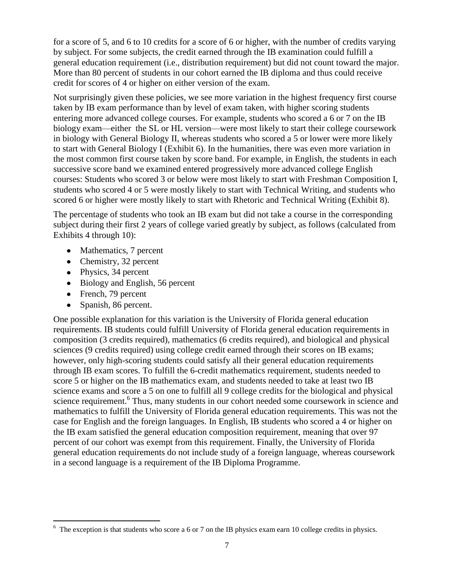for a score of 5, and 6 to 10 credits for a score of 6 or higher, with the number of credits varying by subject. For some subjects, the credit earned through the IB examination could fulfill a general education requirement (i.e., distribution requirement) but did not count toward the major. More than 80 percent of students in our cohort earned the IB diploma and thus could receive credit for scores of 4 or higher on either version of the exam.

Not surprisingly given these policies, we see more variation in the highest frequency first course taken by IB exam performance than by level of exam taken, with higher scoring students entering more advanced college courses. For example, students who scored a 6 or 7 on the IB biology exam—either the SL or HL version—were most likely to start their college coursework in biology with General Biology II, whereas students who scored a 5 or lower were more likely to start with General Biology I (Exhibit 6). In the humanities, there was even more variation in the most common first course taken by score band. For example, in English, the students in each successive score band we examined entered progressively more advanced college English courses: Students who scored 3 or below were most likely to start with Freshman Composition I, students who scored 4 or 5 were mostly likely to start with Technical Writing, and students who scored 6 or higher were mostly likely to start with Rhetoric and Technical Writing (Exhibit 8).

The percentage of students who took an IB exam but did not take a course in the corresponding subject during their first 2 years of college varied greatly by subject, as follows (calculated from Exhibits 4 through 10):

- Mathematics, 7 percent
- Chemistry, 32 percent
- Physics, 34 percent
- Biology and English, 56 percent
- French, 79 percent

 $\overline{a}$ 

• Spanish, 86 percent.

One possible explanation for this variation is the University of Florida general education requirements. IB students could fulfill University of Florida general education requirements in composition (3 credits required), mathematics (6 credits required), and biological and physical sciences (9 credits required) using college credit earned through their scores on IB exams; however, only high-scoring students could satisfy all their general education requirements through IB exam scores. To fulfill the 6-credit mathematics requirement, students needed to score 5 or higher on the IB mathematics exam, and students needed to take at least two IB science exams and score a 5 on one to fulfill all 9 college credits for the biological and physical science requirement.<sup>6</sup> Thus, many students in our cohort needed some coursework in science and mathematics to fulfill the University of Florida general education requirements. This was not the case for English and the foreign languages. In English, IB students who scored a 4 or higher on the IB exam satisfied the general education composition requirement, meaning that over 97 percent of our cohort was exempt from this requirement. Finally, the University of Florida general education requirements do not include study of a foreign language, whereas coursework in a second language is a requirement of the IB Diploma Programme.

 $6\text{ The exception is that students who score a 6 or 7 on the IB physics exam earn 10 college credits in physics.}$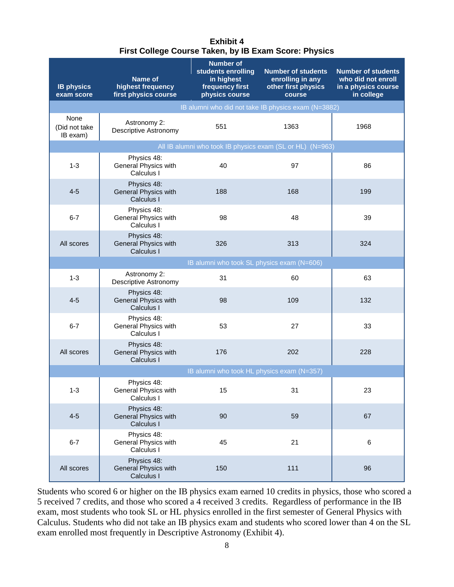#### **Exhibit 4 First College Course Taken, by IB Exam Score: Physics**

<span id="page-13-0"></span>

| <b>IB physics</b><br>exam score   | Name of<br>highest frequency<br>first physics course     | <b>Number of</b><br>students enrolling<br>in highest<br>frequency first<br>physics course | <b>Number of students</b><br>enrolling in any<br>other first physics<br>course | <b>Number of students</b><br>who did not enroll<br>in a physics course<br>in college |
|-----------------------------------|----------------------------------------------------------|-------------------------------------------------------------------------------------------|--------------------------------------------------------------------------------|--------------------------------------------------------------------------------------|
|                                   |                                                          |                                                                                           | IB alumni who did not take IB physics exam (N=3882)                            |                                                                                      |
| None<br>(Did not take<br>IB exam) | Astronomy 2:<br>Descriptive Astronomy                    | 551                                                                                       | 1363                                                                           | 1968                                                                                 |
|                                   |                                                          |                                                                                           | All IB alumni who took IB physics exam (SL or HL) (N=963)                      |                                                                                      |
| $1 - 3$                           | Physics 48:<br>General Physics with<br>Calculus I        | 40                                                                                        | 97                                                                             | 86                                                                                   |
| $4 - 5$                           | Physics 48:<br><b>General Physics with</b><br>Calculus I | 188                                                                                       | 168                                                                            | 199                                                                                  |
| $6 - 7$                           | Physics 48:<br>General Physics with<br>Calculus I        | 98                                                                                        | 48                                                                             | 39                                                                                   |
| All scores                        | Physics 48:<br><b>General Physics with</b><br>Calculus I | 326                                                                                       | 313                                                                            | 324                                                                                  |
|                                   |                                                          | IB alumni who took SL physics exam (N=606)                                                |                                                                                |                                                                                      |
| $1 - 3$                           | Astronomy 2:<br>Descriptive Astronomy                    | 31                                                                                        | 60                                                                             | 63                                                                                   |
| $4 - 5$                           | Physics 48:<br><b>General Physics with</b><br>Calculus I | 98                                                                                        | 109                                                                            | 132                                                                                  |
| $6 - 7$                           | Physics 48:<br>General Physics with<br>Calculus I        | 53                                                                                        | 27                                                                             | 33                                                                                   |
| All scores                        | Physics 48:<br>General Physics with<br>Calculus I        | 176                                                                                       | 202                                                                            | 228                                                                                  |
|                                   |                                                          | IB alumni who took HL physics exam (N=357)                                                |                                                                                |                                                                                      |
| $1 - 3$                           | Physics 48:<br>General Physics with<br>Calculus I        | 15                                                                                        | 31                                                                             | 23                                                                                   |
| $4 - 5$                           | Physics 48:<br><b>General Physics with</b><br>Calculus I | 90                                                                                        | 59                                                                             | 67                                                                                   |
| $6 - 7$                           | Physics 48:<br>General Physics with<br>Calculus I        | 45                                                                                        | 21                                                                             | 6                                                                                    |
| All scores                        | Physics 48:<br><b>General Physics with</b><br>Calculus I | 150                                                                                       | 111                                                                            | 96                                                                                   |

Students who scored 6 or higher on the IB physics exam earned 10 credits in physics, those who scored a 5 received 7 credits, and those who scored a 4 received 3 credits. Regardless of performance in the IB exam, most students who took SL or HL physics enrolled in the first semester of General Physics with Calculus. Students who did not take an IB physics exam and students who scored lower than 4 on the SL exam enrolled most frequently in Descriptive Astronomy (Exhibit 4).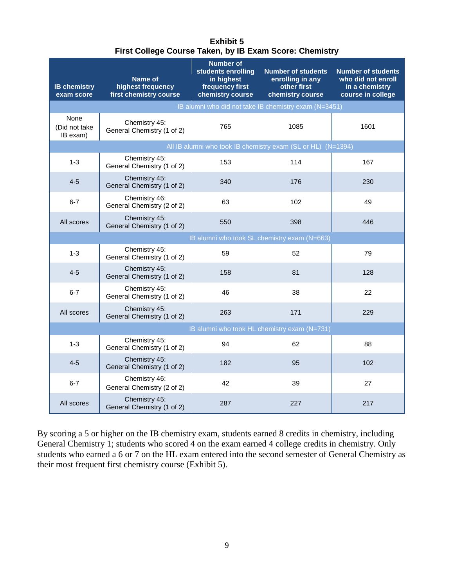| <b>Exhibit 5</b>                                        |
|---------------------------------------------------------|
| First College Course Taken, by IB Exam Score: Chemistry |

<span id="page-14-0"></span>

| <b>IB chemistry</b><br>exam score | <b>Name of</b><br>highest frequency<br>first chemistry course | <b>Number of</b><br>students enrolling<br>in highest<br>frequency first<br>chemistry course | <b>Number of students</b><br>enrolling in any<br>other first<br>chemistry course | <b>Number of students</b><br>who did not enroll<br>in a chemistry<br>course in college |  |
|-----------------------------------|---------------------------------------------------------------|---------------------------------------------------------------------------------------------|----------------------------------------------------------------------------------|----------------------------------------------------------------------------------------|--|
|                                   |                                                               |                                                                                             | IB alumni who did not take IB chemistry exam (N=3451)                            |                                                                                        |  |
| None<br>(Did not take<br>IB exam) | Chemistry 45:<br>General Chemistry (1 of 2)                   | 765                                                                                         | 1085                                                                             | 1601                                                                                   |  |
|                                   |                                                               |                                                                                             | All IB alumni who took IB chemistry exam (SL or HL) (N=1394)                     |                                                                                        |  |
| $1 - 3$                           | Chemistry 45:<br>General Chemistry (1 of 2)                   | 153                                                                                         | 114                                                                              | 167                                                                                    |  |
| $4 - 5$                           | Chemistry 45:<br>General Chemistry (1 of 2)                   | 340                                                                                         | 176                                                                              | 230                                                                                    |  |
| $6 - 7$                           | Chemistry 46:<br>General Chemistry (2 of 2)                   | 63                                                                                          | 102                                                                              | 49                                                                                     |  |
| All scores                        | Chemistry 45:<br>General Chemistry (1 of 2)                   | 550                                                                                         | 398                                                                              | 446                                                                                    |  |
|                                   |                                                               |                                                                                             | IB alumni who took SL chemistry exam (N=663)                                     |                                                                                        |  |
| $1 - 3$                           | Chemistry 45:<br>General Chemistry (1 of 2)                   | 59                                                                                          | 52                                                                               | 79                                                                                     |  |
| $4 - 5$                           | Chemistry 45:<br>General Chemistry (1 of 2)                   | 158                                                                                         | 81                                                                               | 128                                                                                    |  |
| $6 - 7$                           | Chemistry 45:<br>General Chemistry (1 of 2)                   | 46                                                                                          | 38                                                                               | 22                                                                                     |  |
| All scores                        | Chemistry 45:<br>General Chemistry (1 of 2)                   | 263                                                                                         | 171                                                                              | 229                                                                                    |  |
|                                   | IB alumni who took HL chemistry exam (N=731)                  |                                                                                             |                                                                                  |                                                                                        |  |
| $1 - 3$                           | Chemistry 45:<br>General Chemistry (1 of 2)                   | 94                                                                                          | 62                                                                               | 88                                                                                     |  |
| $4 - 5$                           | Chemistry 45:<br>General Chemistry (1 of 2)                   | 182                                                                                         | 95                                                                               | 102                                                                                    |  |
| $6 - 7$                           | Chemistry 46:<br>General Chemistry (2 of 2)                   | 42                                                                                          | 39                                                                               | 27                                                                                     |  |
| All scores                        | Chemistry 45:<br>General Chemistry (1 of 2)                   | 287                                                                                         | 227                                                                              | 217                                                                                    |  |

By scoring a 5 or higher on the IB chemistry exam, students earned 8 credits in chemistry, including General Chemistry 1; students who scored 4 on the exam earned 4 college credits in chemistry. Only students who earned a 6 or 7 on the HL exam entered into the second semester of General Chemistry as their most frequent first chemistry course (Exhibit 5).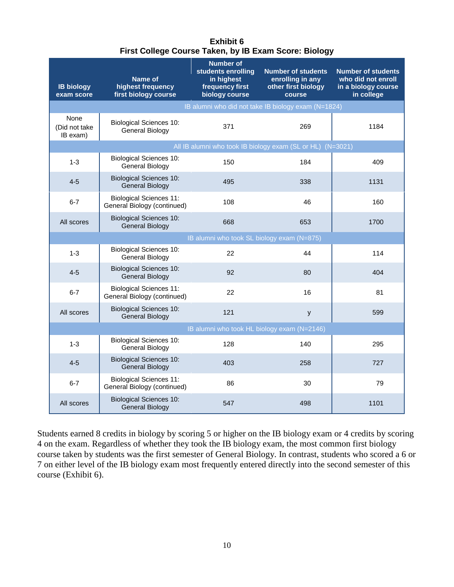| <b>Exhibit 6</b>                                      |
|-------------------------------------------------------|
| First College Course Taken, by IB Exam Score: Biology |

<span id="page-15-0"></span>

| <b>IB biology</b><br>exam score             | Name of<br>highest frequency<br>first biology course          | <b>Number of</b><br>students enrolling<br>in highest<br>frequency first<br>biology course | <b>Number of students</b><br>enrolling in any<br>other first biology<br>course | <b>Number of students</b><br>who did not enroll<br>in a biology course<br>in college |  |  |
|---------------------------------------------|---------------------------------------------------------------|-------------------------------------------------------------------------------------------|--------------------------------------------------------------------------------|--------------------------------------------------------------------------------------|--|--|
|                                             |                                                               |                                                                                           | IB alumni who did not take IB biology exam (N=1824)                            |                                                                                      |  |  |
| None<br>(Did not take)<br>IB exam)          | <b>Biological Sciences 10:</b><br>General Biology             | 371                                                                                       | 269                                                                            | 1184                                                                                 |  |  |
|                                             |                                                               |                                                                                           | All IB alumni who took IB biology exam (SL or HL) (N=3021)                     |                                                                                      |  |  |
| $1 - 3$                                     | <b>Biological Sciences 10:</b><br>General Biology             | 150                                                                                       | 184                                                                            | 409                                                                                  |  |  |
| $4 - 5$                                     | <b>Biological Sciences 10:</b><br><b>General Biology</b>      | 495                                                                                       | 338                                                                            | 1131                                                                                 |  |  |
| $6 - 7$                                     | <b>Biological Sciences 11:</b><br>General Biology (continued) | 108                                                                                       | 46                                                                             | 160                                                                                  |  |  |
| All scores                                  | <b>Biological Sciences 10:</b><br><b>General Biology</b>      | 668                                                                                       | 653                                                                            | 1700                                                                                 |  |  |
|                                             | IB alumni who took SL biology exam (N=875)                    |                                                                                           |                                                                                |                                                                                      |  |  |
| $1 - 3$                                     | <b>Biological Sciences 10:</b><br><b>General Biology</b>      | 22                                                                                        | 44                                                                             | 114                                                                                  |  |  |
| $4 - 5$                                     | <b>Biological Sciences 10:</b><br><b>General Biology</b>      | 92                                                                                        | 80                                                                             | 404                                                                                  |  |  |
| $6 - 7$                                     | <b>Biological Sciences 11:</b><br>General Biology (continued) | 22                                                                                        | 16                                                                             | 81                                                                                   |  |  |
| All scores                                  | <b>Biological Sciences 10:</b><br><b>General Biology</b>      | 121                                                                                       | У                                                                              | 599                                                                                  |  |  |
| IB alumni who took HL biology exam (N=2146) |                                                               |                                                                                           |                                                                                |                                                                                      |  |  |
| $1 - 3$                                     | <b>Biological Sciences 10:</b><br>General Biology             | 128                                                                                       | 140                                                                            | 295                                                                                  |  |  |
| $4 - 5$                                     | <b>Biological Sciences 10:</b><br><b>General Biology</b>      | 403                                                                                       | 258                                                                            | 727                                                                                  |  |  |
| $6 - 7$                                     | <b>Biological Sciences 11:</b><br>General Biology (continued) | 86                                                                                        | 30                                                                             | 79                                                                                   |  |  |
| All scores                                  | <b>Biological Sciences 10:</b><br><b>General Biology</b>      | 547                                                                                       | 498                                                                            | 1101                                                                                 |  |  |

Students earned 8 credits in biology by scoring 5 or higher on the IB biology exam or 4 credits by scoring 4 on the exam. Regardless of whether they took the IB biology exam, the most common first biology course taken by students was the first semester of General Biology. In contrast, students who scored a 6 or 7 on either level of the IB biology exam most frequently entered directly into the second semester of this course (Exhibit 6).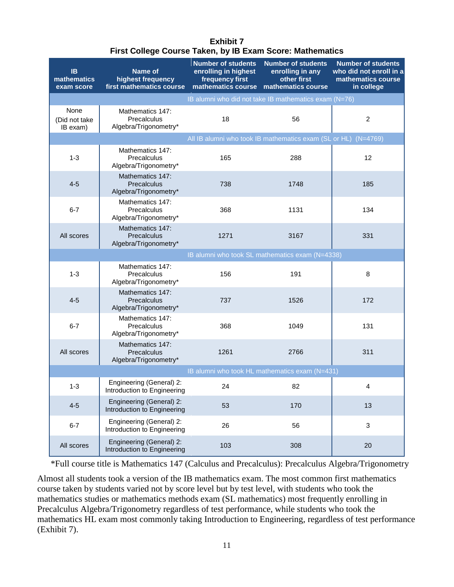| Exhibit 7                                                 |
|-----------------------------------------------------------|
| First College Course Taken, by IB Exam Score: Mathematics |

<span id="page-16-0"></span>

| <b>IB</b><br>mathematics<br>exam score | Name of<br>highest frequency<br>first mathematics course | <b>Number of students</b><br>enrolling in highest<br>frequency first<br>mathematics course | <b>Number of students</b><br>enrolling in any<br>other first<br>mathematics course | <b>Number of students</b><br>who did not enroll in a<br>mathematics course<br>in college |
|----------------------------------------|----------------------------------------------------------|--------------------------------------------------------------------------------------------|------------------------------------------------------------------------------------|------------------------------------------------------------------------------------------|
|                                        |                                                          |                                                                                            | IB alumni who did not take IB mathematics exam (N=76)                              |                                                                                          |
| None<br>(Did not take<br>IB exam)      | Mathematics 147:<br>Precalculus<br>Algebra/Trigonometry* | 18                                                                                         | 56                                                                                 | $\overline{c}$                                                                           |
|                                        |                                                          |                                                                                            | All IB alumni who took IB mathematics exam (SL or HL) (N=4769)                     |                                                                                          |
| $1 - 3$                                | Mathematics 147:<br>Precalculus<br>Algebra/Trigonometry* | 165                                                                                        | 288                                                                                | 12                                                                                       |
| $4 - 5$                                | Mathematics 147:<br>Precalculus<br>Algebra/Trigonometry* | 738                                                                                        | 1748                                                                               | 185                                                                                      |
| $6 - 7$                                | Mathematics 147:<br>Precalculus<br>Algebra/Trigonometry* | 368                                                                                        | 1131                                                                               | 134                                                                                      |
| All scores                             | Mathematics 147:<br>Precalculus<br>Algebra/Trigonometry* | 1271                                                                                       | 3167                                                                               | 331                                                                                      |
|                                        |                                                          |                                                                                            | IB alumni who took SL mathematics exam (N=4338)                                    |                                                                                          |
| $1 - 3$                                | Mathematics 147:<br>Precalculus<br>Algebra/Trigonometry* | 156                                                                                        | 191                                                                                | 8                                                                                        |
| $4 - 5$                                | Mathematics 147:<br>Precalculus<br>Algebra/Trigonometry* | 737                                                                                        | 1526                                                                               | 172                                                                                      |
| $6 - 7$                                | Mathematics 147:<br>Precalculus<br>Algebra/Trigonometry* | 368                                                                                        | 1049                                                                               | 131                                                                                      |
| All scores                             | Mathematics 147:<br>Precalculus<br>Algebra/Trigonometry* | 1261                                                                                       | 2766                                                                               | 311                                                                                      |
|                                        |                                                          |                                                                                            | IB alumni who took HL mathematics exam (N=431)                                     |                                                                                          |
| $1 - 3$                                | Engineering (General) 2:<br>Introduction to Engineering  | 24                                                                                         | 82                                                                                 | 4                                                                                        |
| $4 - 5$                                | Engineering (General) 2:<br>Introduction to Engineering  | 53                                                                                         | 170                                                                                | 13                                                                                       |
| $6 - 7$                                | Engineering (General) 2:<br>Introduction to Engineering  | 26                                                                                         | 56                                                                                 | 3                                                                                        |
| All scores                             | Engineering (General) 2:<br>Introduction to Engineering  | 103                                                                                        | 308                                                                                | 20                                                                                       |

\*Full course title is Mathematics 147 (Calculus and Precalculus): Precalculus Algebra/Trigonometry

Almost all students took a version of the IB mathematics exam. The most common first mathematics course taken by students varied not by score level but by test level, with students who took the mathematics studies or mathematics methods exam (SL mathematics) most frequently enrolling in Precalculus Algebra/Trigonometry regardless of test performance, while students who took the mathematics HL exam most commonly taking Introduction to Engineering, regardless of test performance (Exhibit 7).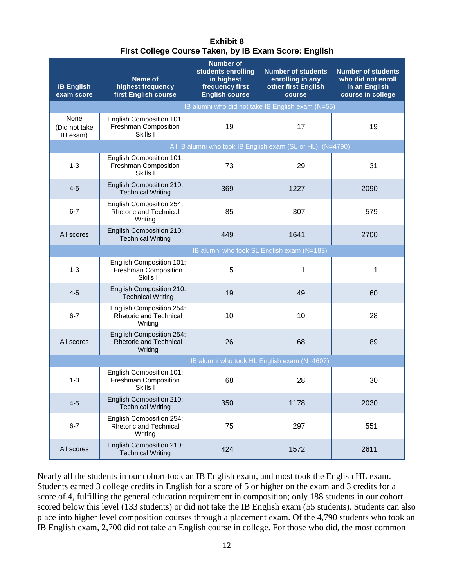| <b>Exhibit 8</b>                                      |  |  |  |  |  |
|-------------------------------------------------------|--|--|--|--|--|
| First College Course Taken, by IB Exam Score: English |  |  |  |  |  |

<span id="page-17-0"></span>

| <b>IB English</b><br>exam score             | <b>Name of</b><br>highest frequency<br>first English course          | <b>Number of</b><br>students enrolling<br>in highest<br>frequency first<br><b>English course</b> | <b>Number of students</b><br>enrolling in any<br>other first English<br>course | <b>Number of students</b><br>who did not enroll<br>in an English<br>course in college |  |
|---------------------------------------------|----------------------------------------------------------------------|--------------------------------------------------------------------------------------------------|--------------------------------------------------------------------------------|---------------------------------------------------------------------------------------|--|
|                                             |                                                                      |                                                                                                  | IB alumni who did not take IB English exam (N=55)                              |                                                                                       |  |
| None<br>(Did not take<br>IB exam)           | English Composition 101:<br>Freshman Composition<br>Skills I         | 19                                                                                               | 17                                                                             | 19                                                                                    |  |
|                                             |                                                                      |                                                                                                  | All IB alumni who took IB English exam (SL or HL) (N=4790)                     |                                                                                       |  |
| $1 - 3$                                     | English Composition 101:<br>Freshman Composition<br>Skills I         | 73                                                                                               | 29                                                                             | 31                                                                                    |  |
| $4 - 5$                                     | English Composition 210:<br><b>Technical Writing</b>                 | 369                                                                                              | 1227                                                                           | 2090                                                                                  |  |
| $6 - 7$                                     | English Composition 254:<br>Rhetoric and Technical<br>Writing        | 85                                                                                               | 307                                                                            | 579                                                                                   |  |
| All scores                                  | English Composition 210:<br><b>Technical Writing</b>                 | 449                                                                                              | 1641                                                                           | 2700                                                                                  |  |
|                                             |                                                                      |                                                                                                  | IB alumni who took SL English exam (N=183)                                     |                                                                                       |  |
| $1 - 3$                                     | English Composition 101:<br>Freshman Composition<br>Skills I         | 5                                                                                                | 1                                                                              | 1                                                                                     |  |
| $4 - 5$                                     | English Composition 210:<br><b>Technical Writing</b>                 | 19                                                                                               | 49                                                                             | 60                                                                                    |  |
| $6 - 7$                                     | English Composition 254:<br>Rhetoric and Technical<br>Writing        | 10                                                                                               | 10                                                                             | 28                                                                                    |  |
| All scores                                  | English Composition 254:<br><b>Rhetoric and Technical</b><br>Writing | 26                                                                                               | 68                                                                             | 89                                                                                    |  |
| IB alumni who took HL English exam (N=4607) |                                                                      |                                                                                                  |                                                                                |                                                                                       |  |
| $1 - 3$                                     | English Composition 101:<br>Freshman Composition<br>Skills I         | 68                                                                                               | 28                                                                             | 30                                                                                    |  |
| $4 - 5$                                     | English Composition 210:<br><b>Technical Writing</b>                 | 350                                                                                              | 1178                                                                           | 2030                                                                                  |  |
| $6 - 7$                                     | English Composition 254:<br>Rhetoric and Technical<br>Writing        | 75                                                                                               | 297                                                                            | 551                                                                                   |  |
| All scores                                  | English Composition 210:<br><b>Technical Writing</b>                 | 424                                                                                              | 1572                                                                           | 2611                                                                                  |  |

Nearly all the students in our cohort took an IB English exam, and most took the English HL exam. Students earned 3 college credits in English for a score of 5 or higher on the exam and 3 credits for a score of 4, fulfilling the general education requirement in composition; only 188 students in our cohort scored below this level (133 students) or did not take the IB English exam (55 students). Students can also place into higher level composition courses through a placement exam. Of the 4,790 students who took an IB English exam, 2,700 did not take an English course in college. For those who did, the most common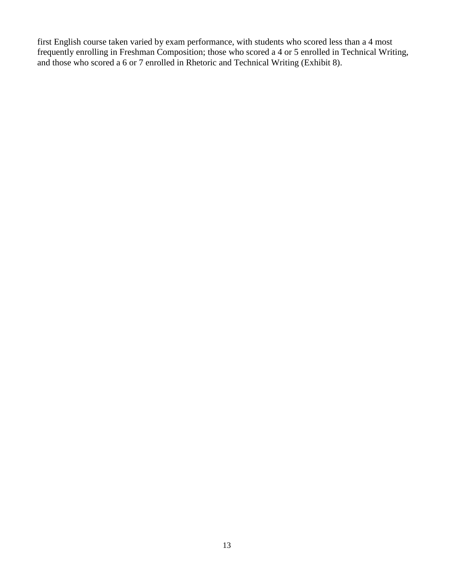first English course taken varied by exam performance, with students who scored less than a 4 most frequently enrolling in Freshman Composition; those who scored a 4 or 5 enrolled in Technical Writing, and those who scored a 6 or 7 enrolled in Rhetoric and Technical Writing (Exhibit 8).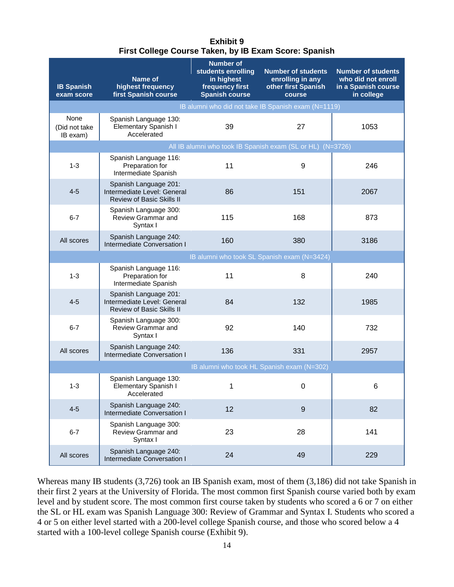| <b>Exhibit 9</b>                                      |  |  |  |  |  |
|-------------------------------------------------------|--|--|--|--|--|
| First College Course Taken, by IB Exam Score: Spanish |  |  |  |  |  |

<span id="page-19-0"></span>

| <b>IB Spanish</b><br>exam score   | Name of<br>highest frequency<br>first Spanish course                                     | <b>Number of</b><br>students enrolling<br>in highest<br>frequency first<br><b>Spanish course</b> | <b>Number of students</b><br>enrolling in any<br>other first Spanish<br>course | <b>Number of students</b><br>who did not enroll<br>in a Spanish course<br>in college |  |
|-----------------------------------|------------------------------------------------------------------------------------------|--------------------------------------------------------------------------------------------------|--------------------------------------------------------------------------------|--------------------------------------------------------------------------------------|--|
|                                   |                                                                                          |                                                                                                  | IB alumni who did not take IB Spanish exam (N=1119)                            |                                                                                      |  |
| None<br>(Did not take<br>IB exam) | Spanish Language 130:<br>Elementary Spanish I<br>Accelerated                             | 39                                                                                               | 27                                                                             | 1053                                                                                 |  |
|                                   |                                                                                          |                                                                                                  | All IB alumni who took IB Spanish exam (SL or HL) (N=3726)                     |                                                                                      |  |
| $1 - 3$                           | Spanish Language 116:<br>Preparation for<br>Intermediate Spanish                         | 11                                                                                               | 9                                                                              | 246                                                                                  |  |
| $4 - 5$                           | Spanish Language 201:<br>Intermediate Level: General<br><b>Review of Basic Skills II</b> | 86                                                                                               | 151                                                                            | 2067                                                                                 |  |
| $6 - 7$                           | Spanish Language 300:<br>Review Grammar and<br>Syntax I                                  | 115                                                                                              | 168                                                                            | 873                                                                                  |  |
| All scores                        | Spanish Language 240:<br>Intermediate Conversation I                                     | 160                                                                                              | 380                                                                            | 3186                                                                                 |  |
|                                   |                                                                                          |                                                                                                  | IB alumni who took SL Spanish exam (N=3424)                                    |                                                                                      |  |
| $1 - 3$                           | Spanish Language 116:<br>Preparation for<br>Intermediate Spanish                         | 11                                                                                               | 8                                                                              | 240                                                                                  |  |
| $4 - 5$                           | Spanish Language 201:<br>Intermediate Level: General<br>Review of Basic Skills II        | 84                                                                                               | 132                                                                            | 1985                                                                                 |  |
| $6 - 7$                           | Spanish Language 300:<br>Review Grammar and<br>Syntax I                                  | 92                                                                                               | 140                                                                            | 732                                                                                  |  |
| All scores                        | Spanish Language 240:<br>Intermediate Conversation I                                     | 136                                                                                              | 331                                                                            | 2957                                                                                 |  |
|                                   | IB alumni who took HL Spanish exam (N=302)                                               |                                                                                                  |                                                                                |                                                                                      |  |
| $1 - 3$                           | Spanish Language 130:<br>Elementary Spanish I<br>Accelerated                             | 1                                                                                                | 0                                                                              | 6                                                                                    |  |
| $4 - 5$                           | Spanish Language 240:<br>Intermediate Conversation I                                     | 12                                                                                               | 9                                                                              | 82                                                                                   |  |
| $6 - 7$                           | Spanish Language 300:<br>Review Grammar and<br>Syntax I                                  | 23                                                                                               | 28                                                                             | 141                                                                                  |  |
| All scores                        | Spanish Language 240:<br>Intermediate Conversation I                                     | 24                                                                                               | 49                                                                             | 229                                                                                  |  |

Whereas many IB students (3,726) took an IB Spanish exam, most of them (3,186) did not take Spanish in their first 2 years at the University of Florida. The most common first Spanish course varied both by exam level and by student score. The most common first course taken by students who scored a 6 or 7 on either the SL or HL exam was Spanish Language 300: Review of Grammar and Syntax I. Students who scored a 4 or 5 on either level started with a 200-level college Spanish course, and those who scored below a 4 started with a 100-level college Spanish course (Exhibit 9).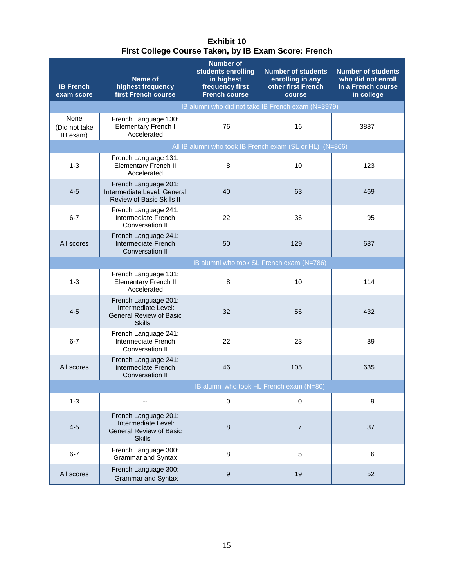#### **Exhibit 10 First College Course Taken, by IB Exam Score: French**

<span id="page-20-0"></span>

| <b>IB French</b><br>exam score           | Name of<br>highest frequency<br>first French course                                        | <b>Number of</b><br>students enrolling<br>in highest<br>frequency first<br><b>French course</b> | <b>Number of students</b><br>enrolling in any<br>other first French<br>course | <b>Number of students</b><br>who did not enroll<br>in a French course<br>in college |
|------------------------------------------|--------------------------------------------------------------------------------------------|-------------------------------------------------------------------------------------------------|-------------------------------------------------------------------------------|-------------------------------------------------------------------------------------|
|                                          |                                                                                            |                                                                                                 | IB alumni who did not take IB French exam (N=3979)                            |                                                                                     |
| None<br>(Did not take<br>IB exam)        | French Language 130:<br>Elementary French I<br>Accelerated                                 | 76                                                                                              | 16                                                                            | 3887                                                                                |
|                                          |                                                                                            |                                                                                                 | All IB alumni who took IB French exam (SL or HL) (N=866)                      |                                                                                     |
| $1 - 3$                                  | French Language 131:<br><b>Elementary French II</b><br>Accelerated                         | 8                                                                                               | 10                                                                            | 123                                                                                 |
| $4 - 5$                                  | French Language 201:<br>Intermediate Level: General<br><b>Review of Basic Skills II</b>    | 40                                                                                              | 63                                                                            | 469                                                                                 |
| $6 - 7$                                  | French Language 241:<br>Intermediate French<br>Conversation II                             | 22                                                                                              | 36                                                                            | 95                                                                                  |
| All scores                               | French Language 241:<br>Intermediate French<br>Conversation II                             | 50                                                                                              | 129                                                                           | 687                                                                                 |
|                                          |                                                                                            | IB alumni who took SL French exam (N=786)                                                       |                                                                               |                                                                                     |
| $1 - 3$                                  | French Language 131:<br><b>Elementary French II</b><br>Accelerated                         | 8                                                                                               | 10                                                                            | 114                                                                                 |
| $4 - 5$                                  | French Language 201:<br>Intermediate Level:<br><b>General Review of Basic</b><br>Skills II | 32                                                                                              | 56                                                                            | 432                                                                                 |
| $6 - 7$                                  | French Language 241:<br>Intermediate French<br>Conversation II                             | 22                                                                                              | 23                                                                            | 89                                                                                  |
| All scores                               | French Language 241:<br>Intermediate French<br>Conversation II                             | 46                                                                                              | 105                                                                           | 635                                                                                 |
| IB alumni who took HL French exam (N=80) |                                                                                            |                                                                                                 |                                                                               |                                                                                     |
| $1 - 3$                                  |                                                                                            | $\mathbf 0$                                                                                     | 0                                                                             | 9                                                                                   |
| $4 - 5$                                  | French Language 201:<br>Intermediate Level:<br><b>General Review of Basic</b><br>Skills II | 8                                                                                               | $\overline{7}$                                                                | 37                                                                                  |
| $6 - 7$                                  | French Language 300:<br><b>Grammar and Syntax</b>                                          | 8                                                                                               | 5                                                                             | $6\phantom{1}6$                                                                     |
| All scores                               | French Language 300:<br><b>Grammar and Syntax</b>                                          | 9                                                                                               | 19                                                                            | 52                                                                                  |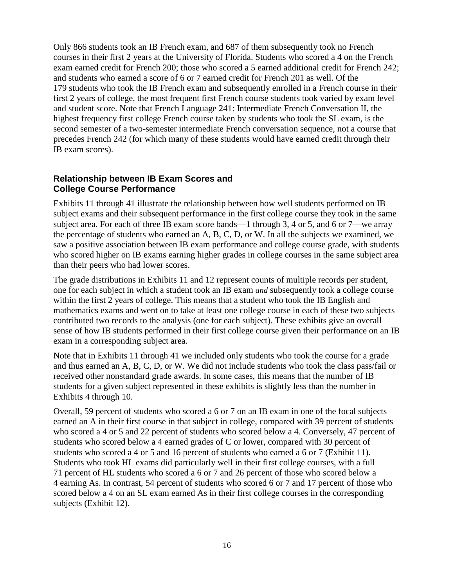Only 866 students took an IB French exam, and 687 of them subsequently took no French courses in their first 2 years at the University of Florida. Students who scored a 4 on the French exam earned credit for French 200; those who scored a 5 earned additional credit for French 242; and students who earned a score of 6 or 7 earned credit for French 201 as well. Of the 179 students who took the IB French exam and subsequently enrolled in a French course in their first 2 years of college, the most frequent first French course students took varied by exam level and student score. Note that French Language 241: Intermediate French Conversation II, the highest frequency first college French course taken by students who took the SL exam, is the second semester of a two-semester intermediate French conversation sequence, not a course that precedes French 242 (for which many of these students would have earned credit through their IB exam scores).

#### <span id="page-21-0"></span>**Relationship between IB Exam Scores and College Course Performance**

Exhibits 11 through 41 illustrate the relationship between how well students performed on IB subject exams and their subsequent performance in the first college course they took in the same subject area. For each of three IB exam score bands—1 through 3, 4 or 5, and 6 or 7—we array the percentage of students who earned an A, B, C, D, or W. In all the subjects we examined, we saw a positive association between IB exam performance and college course grade, with students who scored higher on IB exams earning higher grades in college courses in the same subject area than their peers who had lower scores.

The grade distributions in Exhibits 11 and 12 represent counts of multiple records per student, one for each subject in which a student took an IB exam *and* subsequently took a college course within the first 2 years of college. This means that a student who took the IB English and mathematics exams and went on to take at least one college course in each of these two subjects contributed two records to the analysis (one for each subject). These exhibits give an overall sense of how IB students performed in their first college course given their performance on an IB exam in a corresponding subject area.

Note that in Exhibits 11 through 41 we included only students who took the course for a grade and thus earned an A, B, C, D, or W. We did not include students who took the class pass/fail or received other nonstandard grade awards. In some cases, this means that the number of IB students for a given subject represented in these exhibits is slightly less than the number in Exhibits 4 through 10.

Overall, 59 percent of students who scored a 6 or 7 on an IB exam in one of the focal subjects earned an A in their first course in that subject in college, compared with 39 percent of students who scored a 4 or 5 and 22 percent of students who scored below a 4. Conversely, 47 percent of students who scored below a 4 earned grades of C or lower, compared with 30 percent of students who scored a 4 or 5 and 16 percent of students who earned a 6 or 7 (Exhibit 11). Students who took HL exams did particularly well in their first college courses, with a full 71 percent of HL students who scored a 6 or 7 and 26 percent of those who scored below a 4 earning As. In contrast, 54 percent of students who scored 6 or 7 and 17 percent of those who scored below a 4 on an SL exam earned As in their first college courses in the corresponding subjects (Exhibit 12).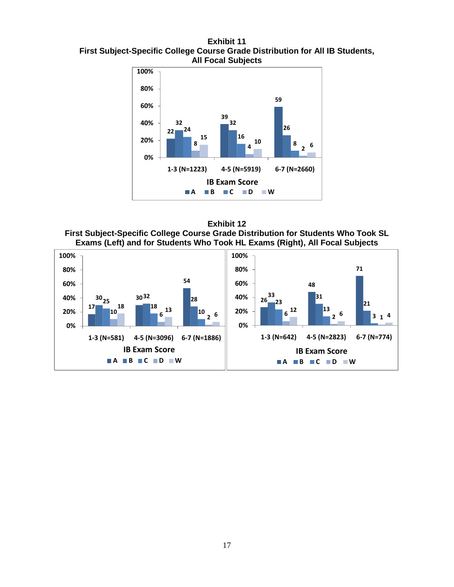<span id="page-22-0"></span>**Exhibit 11 First Subject-Specific College Course Grade Distribution for All IB Students, All Focal Subjects**



<span id="page-22-1"></span>**Exhibit 12 First Subject-Specific College Course Grade Distribution for Students Who Took SL Exams (Left) and for Students Who Took HL Exams (Right), All Focal Subjects**

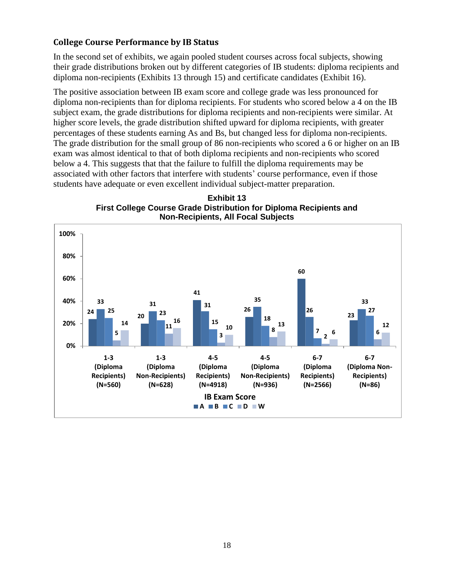#### <span id="page-23-0"></span>**College Course Performance by IB Status**

In the second set of exhibits, we again pooled student courses across focal subjects, showing their grade distributions broken out by different categories of IB students: diploma recipients and diploma non-recipients (Exhibits 13 through 15) and certificate candidates (Exhibit 16).

The positive association between IB exam score and college grade was less pronounced for diploma non-recipients than for diploma recipients. For students who scored below a 4 on the IB subject exam, the grade distributions for diploma recipients and non-recipients were similar. At higher score levels, the grade distribution shifted upward for diploma recipients, with greater percentages of these students earning As and Bs, but changed less for diploma non-recipients. The grade distribution for the small group of 86 non-recipients who scored a 6 or higher on an IB exam was almost identical to that of both diploma recipients and non-recipients who scored below a 4. This suggests that that the failure to fulfill the diploma requirements may be associated with other factors that interfere with students' course performance, even if those students have adequate or even excellent individual subject-matter preparation.



<span id="page-23-1"></span>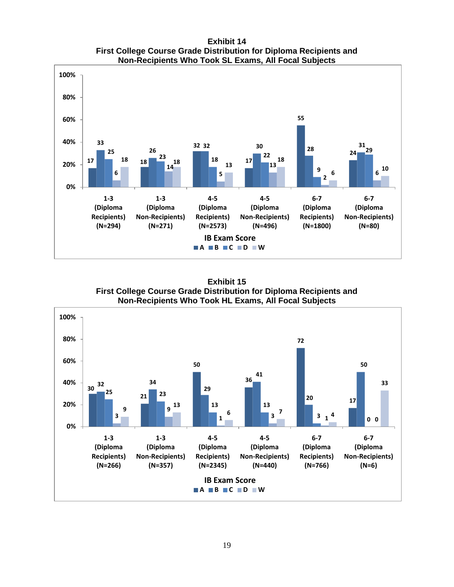**Exhibit 14 First College Course Grade Distribution for Diploma Recipients and Non-Recipients Who Took SL Exams, All Focal Subjects**

<span id="page-24-0"></span>

**Exhibit 15 First College Course Grade Distribution for Diploma Recipients and Non-Recipients Who Took HL Exams, All Focal Subjects**

<span id="page-24-1"></span>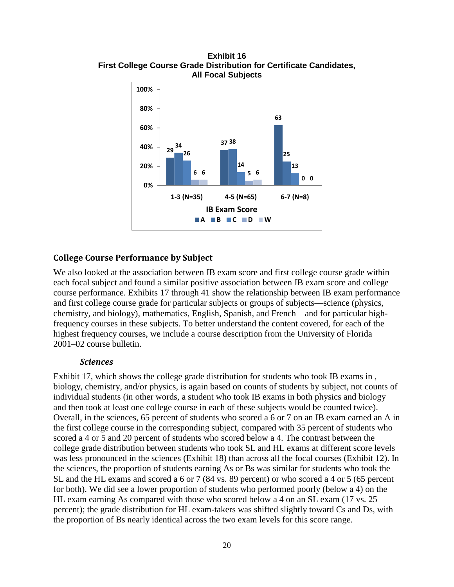

<span id="page-25-1"></span>**Exhibit 16 First College Course Grade Distribution for Certificate Candidates, All Focal Subjects**

#### <span id="page-25-0"></span>**College Course Performance by Subject**

We also looked at the association between IB exam score and first college course grade within each focal subject and found a similar positive association between IB exam score and college course performance. Exhibits 17 through 41 show the relationship between IB exam performance and first college course grade for particular subjects or groups of subjects—science (physics, chemistry, and biology), mathematics, English, Spanish, and French—and for particular highfrequency courses in these subjects. To better understand the content covered, for each of the highest frequency courses, we include a course description from the University of Florida 2001–02 course bulletin.

#### *Sciences*

Exhibit 17, which shows the college grade distribution for students who took IB exams in , biology, chemistry, and/or physics, is again based on counts of students by subject, not counts of individual students (in other words, a student who took IB exams in both physics and biology and then took at least one college course in each of these subjects would be counted twice). Overall, in the sciences, 65 percent of students who scored a 6 or 7 on an IB exam earned an A in the first college course in the corresponding subject, compared with 35 percent of students who scored a 4 or 5 and 20 percent of students who scored below a 4. The contrast between the college grade distribution between students who took SL and HL exams at different score levels was less pronounced in the sciences (Exhibit 18) than across all the focal courses (Exhibit 12). In the sciences, the proportion of students earning As or Bs was similar for students who took the SL and the HL exams and scored a 6 or 7 (84 vs. 89 percent) or who scored a 4 or 5 (65 percent for both). We did see a lower proportion of students who performed poorly (below a 4) on the HL exam earning As compared with those who scored below a 4 on an SL exam (17 vs. 25 percent); the grade distribution for HL exam-takers was shifted slightly toward Cs and Ds, with the proportion of Bs nearly identical across the two exam levels for this score range.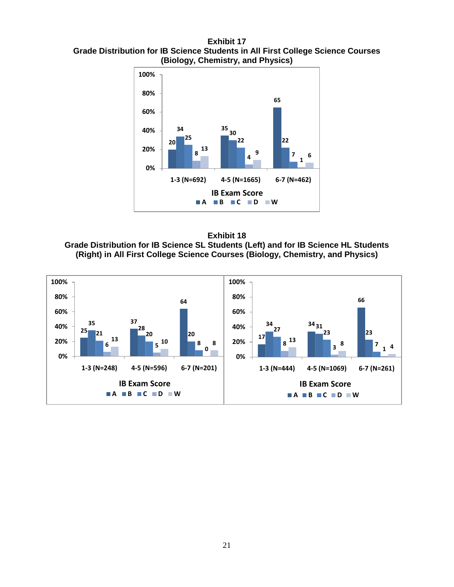<span id="page-26-0"></span>**Exhibit 17 Grade Distribution for IB Science Students in All First College Science Courses (Biology, Chemistry, and Physics)**



<span id="page-26-1"></span>**Exhibit 18 Grade Distribution for IB Science SL Students (Left) and for IB Science HL Students (Right) in All First College Science Courses (Biology, Chemistry, and Physics)**

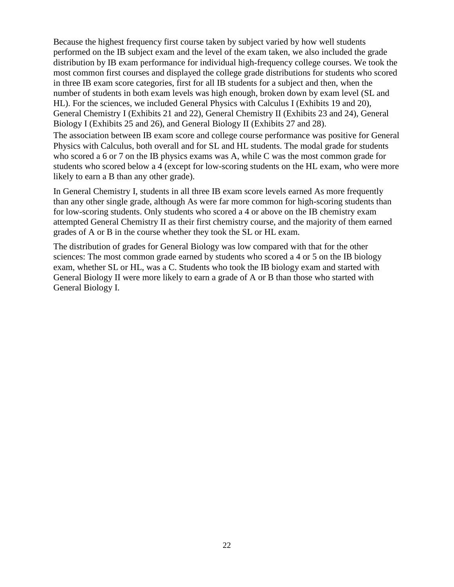Because the highest frequency first course taken by subject varied by how well students performed on the IB subject exam and the level of the exam taken, we also included the grade distribution by IB exam performance for individual high-frequency college courses. We took the most common first courses and displayed the college grade distributions for students who scored in three IB exam score categories, first for all IB students for a subject and then, when the number of students in both exam levels was high enough, broken down by exam level (SL and HL). For the sciences, we included General Physics with Calculus I (Exhibits 19 and 20), General Chemistry I (Exhibits 21 and 22), General Chemistry II (Exhibits 23 and 24), General Biology I (Exhibits 25 and 26), and General Biology II (Exhibits 27 and 28).

The association between IB exam score and college course performance was positive for General Physics with Calculus, both overall and for SL and HL students. The modal grade for students who scored a 6 or 7 on the IB physics exams was A, while C was the most common grade for students who scored below a 4 (except for low-scoring students on the HL exam, who were more likely to earn a B than any other grade).

In General Chemistry I, students in all three IB exam score levels earned As more frequently than any other single grade, although As were far more common for high-scoring students than for low-scoring students. Only students who scored a 4 or above on the IB chemistry exam attempted General Chemistry II as their first chemistry course, and the majority of them earned grades of A or B in the course whether they took the SL or HL exam.

The distribution of grades for General Biology was low compared with that for the other sciences: The most common grade earned by students who scored a 4 or 5 on the IB biology exam, whether SL or HL, was a C. Students who took the IB biology exam and started with General Biology II were more likely to earn a grade of A or B than those who started with General Biology I.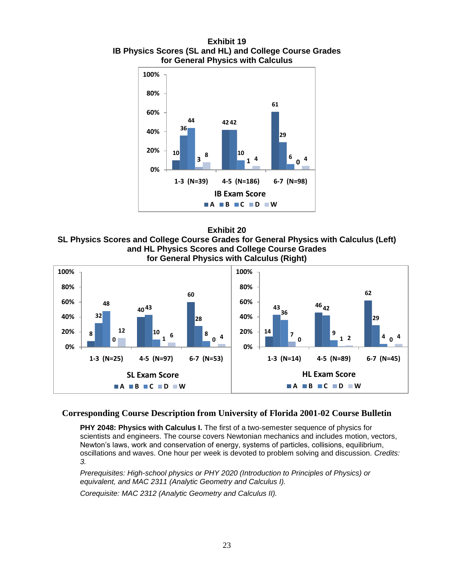<span id="page-28-0"></span>**Exhibit 19 IB Physics Scores (SL and HL) and College Course Grades for General Physics with Calculus**





<span id="page-28-1"></span>**SL Physics Scores and College Course Grades for General Physics with Calculus (Left) and HL Physics Scores and College Course Grades for General Physics with Calculus (Right)** 



#### **Corresponding Course Description from University of Florida 2001-02 Course Bulletin**

**PHY 2048: Physics with Calculus I.** The first of a two-semester sequence of physics for scientists and engineers. The course covers Newtonian mechanics and includes motion, vectors, Newton's laws, work and conservation of energy, systems of particles, collisions, equilibrium, oscillations and waves. One hour per week is devoted to problem solving and discussion. *Credits: 3.*

*Prerequisites: High-school physics or PHY 2020 (Introduction to Principles of Physics) or equivalent, and MAC 2311 (Analytic Geometry and Calculus I).*

*Corequisite: MAC 2312 (Analytic Geometry and Calculus II).*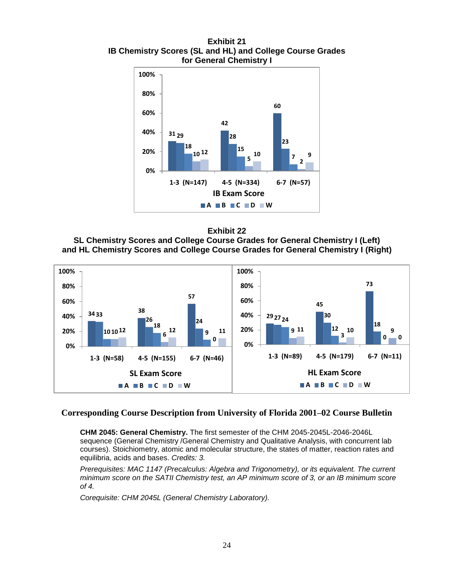<span id="page-29-0"></span>**Exhibit 21 IB Chemistry Scores (SL and HL) and College Course Grades for General Chemistry I**





<span id="page-29-1"></span>**SL Chemistry Scores and College Course Grades for General Chemistry I (Left) and HL Chemistry Scores and College Course Grades for General Chemistry I (Right)**



#### **Corresponding Course Description from University of Florida 2001–02 Course Bulletin**

**CHM 2045: General Chemistry.** The first semester of the CHM 2045-2045L-2046-2046L sequence (General Chemistry /General Chemistry and Qualitative Analysis, with concurrent lab courses). Stoichiometry, atomic and molecular structure, the states of matter, reaction rates and equilibria, acids and bases. *Credits: 3.*

*Prerequisites: MAC 1147 (Precalculus: Algebra and Trigonometry), or its equivalent. The current minimum score on the SATII Chemistry test, an AP minimum score of 3, or an IB minimum score of 4.*

*Corequisite: CHM 2045L (General Chemistry Laboratory).*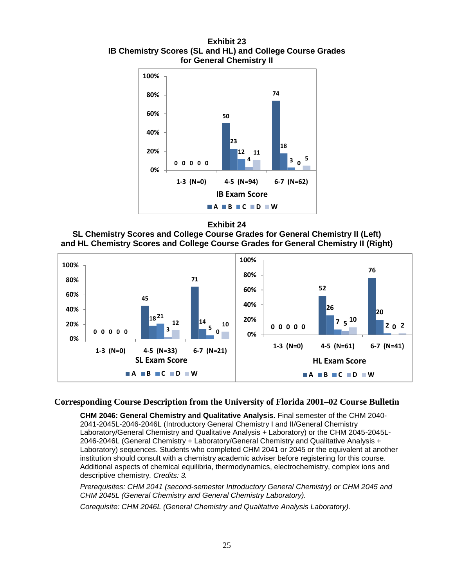<span id="page-30-0"></span>**Exhibit 23 IB Chemistry Scores (SL and HL) and College Course Grades for General Chemistry II**



**Exhibit 24**

<span id="page-30-1"></span>



#### **Corresponding Course Description from the University of Florida 2001–02 Course Bulletin**

**CHM 2046: General Chemistry and Qualitative Analysis.** Final semester of the CHM 2040- 2041-2045L-2046-2046L (Introductory General Chemistry I and II/General Chemistry Laboratory/General Chemistry and Qualitative Analysis + Laboratory) or the CHM 2045-2045L-2046-2046L (General Chemistry + Laboratory/General Chemistry and Qualitative Analysis + Laboratory) sequences. Students who completed CHM 2041 or 2045 or the equivalent at another institution should consult with a chemistry academic adviser before registering for this course. Additional aspects of chemical equilibria, thermodynamics, electrochemistry, complex ions and descriptive chemistry. *Credits: 3.*

*Prerequisites: CHM 2041 (second-semester Introductory General Chemistry) or CHM 2045 and CHM 2045L (General Chemistry and General Chemistry Laboratory).*

*Corequisite: CHM 2046L (General Chemistry and Qualitative Analysis Laboratory).*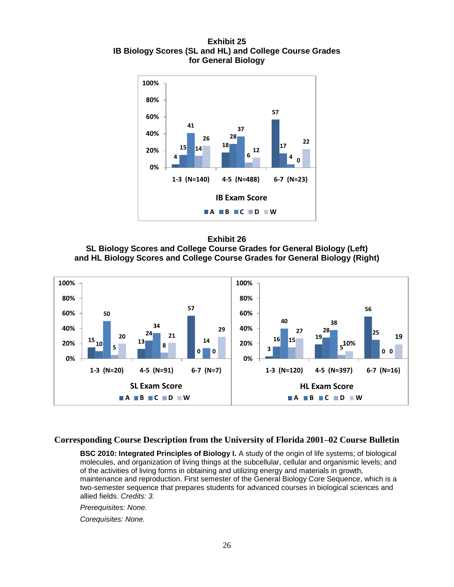<span id="page-31-0"></span>**Exhibit 25 IB Biology Scores (SL and HL) and College Course Grades for General Biology**



<span id="page-31-1"></span>



**Corresponding Course Description from the University of Florida 2001–02 Course Bulletin**

**BSC 2010: Integrated Principles of Biology I.** A study of the origin of life systems; of biological molecules, and organization of living things at the subcellular, cellular and organismic levels; and of the activities of living forms in obtaining and utilizing energy and materials in growth, maintenance and reproduction. First semester of the General Biology Core Sequence, which is a two-semester sequence that prepares students for advanced courses in biological sciences and allied fields. *Credits: 3.*

*Prerequisites: None.*

*Corequisites: None.*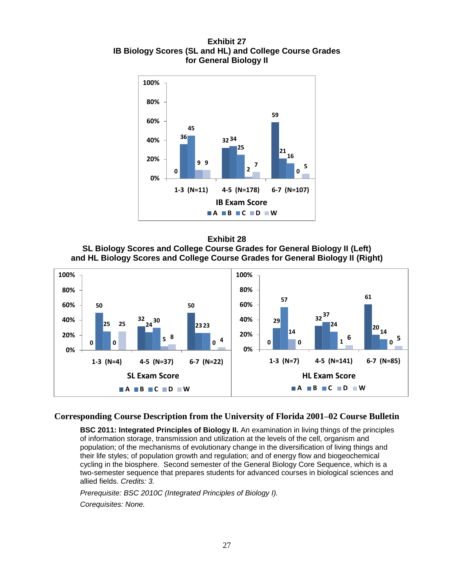<span id="page-32-0"></span>**Exhibit 27 IB Biology Scores (SL and HL) and College Course Grades for General Biology II**



<span id="page-32-1"></span>



#### **Corresponding Course Description from the University of Florida 2001–02 Course Bulletin**

**BSC 2011: Integrated Principles of Biology II.** An examination in living things of the principles of information storage, transmission and utilization at the levels of the cell, organism and population; of the mechanisms of evolutionary change in the diversification of living things and their life styles; of population growth and regulation; and of energy flow and biogeochemical cycling in the biosphere. Second semester of the General Biology Core Sequence, which is a two-semester sequence that prepares students for advanced courses in biological sciences and allied fields. *Credits: 3.*

*Prerequisite: BSC 2010C (Integrated Principles of Biology I).*

*Corequisites: None.*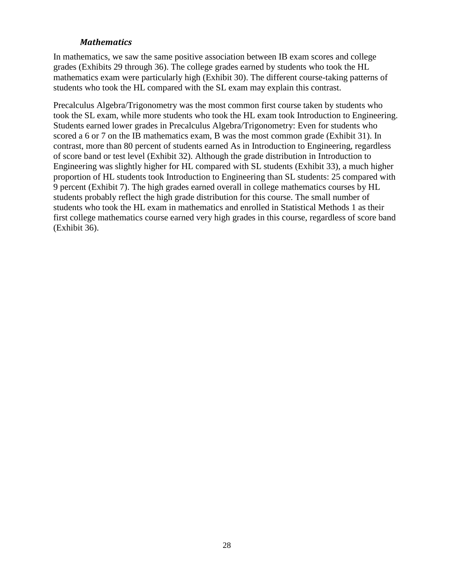#### *Mathematics*

In mathematics, we saw the same positive association between IB exam scores and college grades (Exhibits 29 through 36). The college grades earned by students who took the HL mathematics exam were particularly high (Exhibit 30). The different course-taking patterns of students who took the HL compared with the SL exam may explain this contrast.

Precalculus Algebra/Trigonometry was the most common first course taken by students who took the SL exam, while more students who took the HL exam took Introduction to Engineering. Students earned lower grades in Precalculus Algebra/Trigonometry: Even for students who scored a 6 or 7 on the IB mathematics exam, B was the most common grade (Exhibit 31). In contrast, more than 80 percent of students earned As in Introduction to Engineering, regardless of score band or test level (Exhibit 32). Although the grade distribution in Introduction to Engineering was slightly higher for HL compared with SL students (Exhibit 33), a much higher proportion of HL students took Introduction to Engineering than SL students: 25 compared with 9 percent (Exhibit 7). The high grades earned overall in college mathematics courses by HL students probably reflect the high grade distribution for this course. The small number of students who took the HL exam in mathematics and enrolled in Statistical Methods 1 as their first college mathematics course earned very high grades in this course, regardless of score band (Exhibit 36).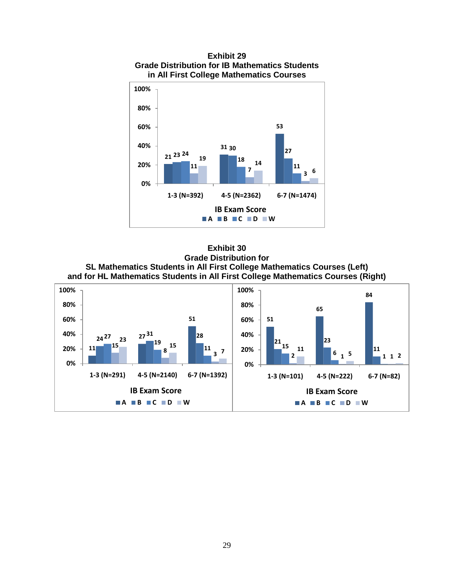<span id="page-34-0"></span>

**Exhibit 29 Grade Distribution for IB Mathematics Students in All First College Mathematics Courses**

<span id="page-34-1"></span>**Exhibit 30 Grade Distribution for SL Mathematics Students in All First College Mathematics Courses (Left) and for HL Mathematics Students in All First College Mathematics Courses (Right)**

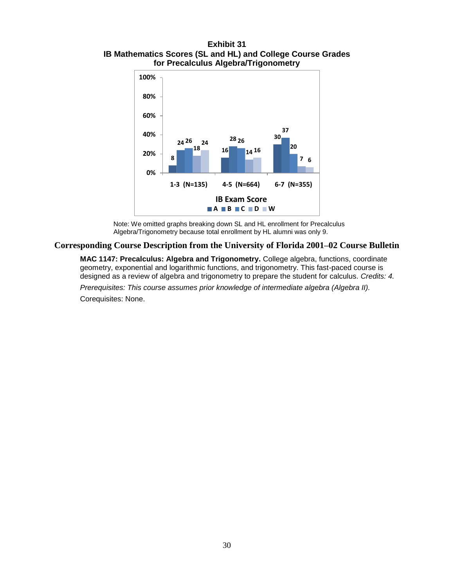#### <span id="page-35-0"></span>**Exhibit 31 IB Mathematics Scores (SL and HL) and College Course Grades for Precalculus Algebra/Trigonometry**



Note: We omitted graphs breaking down SL and HL enrollment for Precalculus Algebra/Trigonometry because total enrollment by HL alumni was only 9.

#### **Corresponding Course Description from the University of Florida 2001–02 Course Bulletin**

**MAC 1147: Precalculus: Algebra and Trigonometry.** College algebra, functions, coordinate geometry, exponential and logarithmic functions, and trigonometry. This fast-paced course is designed as a review of algebra and trigonometry to prepare the student for calculus. *Credits: 4.*

*Prerequisites: This course assumes prior knowledge of intermediate algebra (Algebra II).*

Corequisites: None.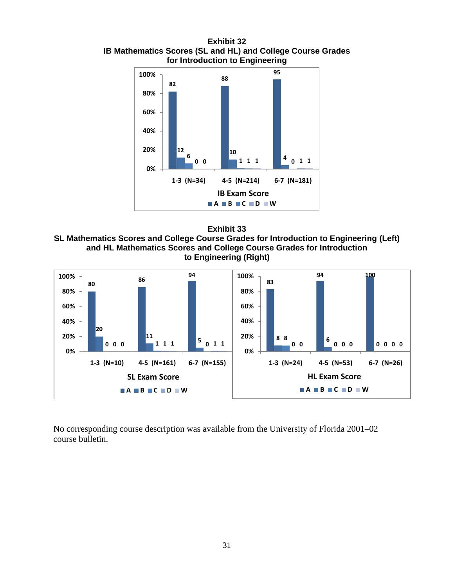<span id="page-36-0"></span>**Exhibit 32 IB Mathematics Scores (SL and HL) and College Course Grades for Introduction to Engineering**





<span id="page-36-1"></span>**SL Mathematics Scores and College Course Grades for Introduction to Engineering (Left) and HL Mathematics Scores and College Course Grades for Introduction to Engineering (Right)**



No corresponding course description was available from the University of Florida 2001–02 course bulletin.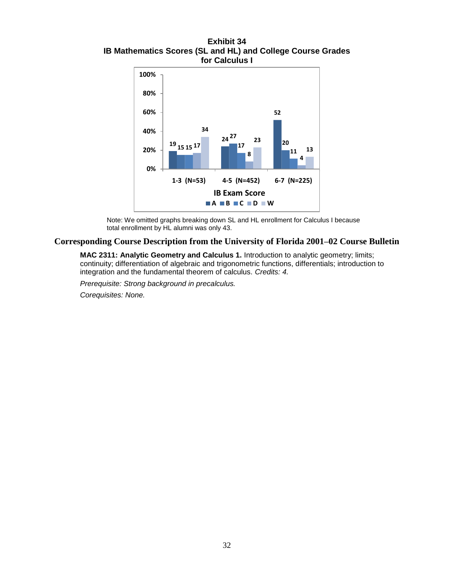<span id="page-37-0"></span>**Exhibit 34 IB Mathematics Scores (SL and HL) and College Course Grades for Calculus I**



Note: We omitted graphs breaking down SL and HL enrollment for Calculus I because total enrollment by HL alumni was only 43.

#### **Corresponding Course Description from the University of Florida 2001–02 Course Bulletin**

**MAC 2311: Analytic Geometry and Calculus 1.** Introduction to analytic geometry; limits; continuity; differentiation of algebraic and trigonometric functions, differentials; introduction to integration and the fundamental theorem of calculus. *Credits: 4.*

*Prerequisite: Strong background in precalculus. Corequisites: None.*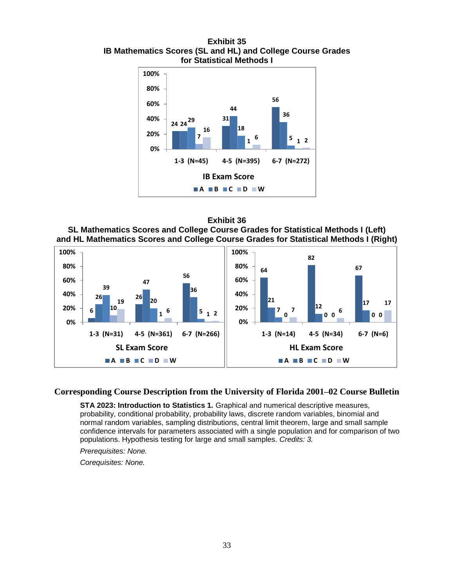<span id="page-38-0"></span>**Exhibit 35 IB Mathematics Scores (SL and HL) and College Course Grades for Statistical Methods I**



#### **Exhibit 36**

<span id="page-38-1"></span>**SL Mathematics Scores and College Course Grades for Statistical Methods I (Left) and HL Mathematics Scores and College Course Grades for Statistical Methods I (Right)**



#### **Corresponding Course Description from the University of Florida 2001–02 Course Bulletin**

**STA 2023: Introduction to Statistics 1.** Graphical and numerical descriptive measures, probability, conditional probability, probability laws, discrete random variables, binomial and normal random variables, sampling distributions, central limit theorem, large and small sample confidence intervals for parameters associated with a single population and for comparison of two populations. Hypothesis testing for large and small samples. *Credits: 3.*

*Prerequisites: None.*

*Corequisites: None.*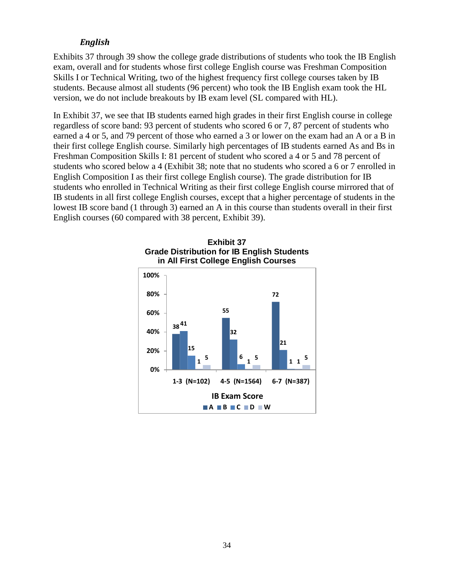#### *English*

Exhibits 37 through 39 show the college grade distributions of students who took the IB English exam, overall and for students whose first college English course was Freshman Composition Skills I or Technical Writing, two of the highest frequency first college courses taken by IB students. Because almost all students (96 percent) who took the IB English exam took the HL version, we do not include breakouts by IB exam level (SL compared with HL).

In Exhibit 37, we see that IB students earned high grades in their first English course in college regardless of score band: 93 percent of students who scored 6 or 7, 87 percent of students who earned a 4 or 5, and 79 percent of those who earned a 3 or lower on the exam had an A or a B in their first college English course. Similarly high percentages of IB students earned As and Bs in Freshman Composition Skills I: 81 percent of student who scored a 4 or 5 and 78 percent of students who scored below a 4 (Exhibit 38; note that no students who scored a 6 or 7 enrolled in English Composition I as their first college English course). The grade distribution for IB students who enrolled in Technical Writing as their first college English course mirrored that of IB students in all first college English courses, except that a higher percentage of students in the lowest IB score band (1 through 3) earned an A in this course than students overall in their first English courses (60 compared with 38 percent, Exhibit 39).

<span id="page-39-0"></span>

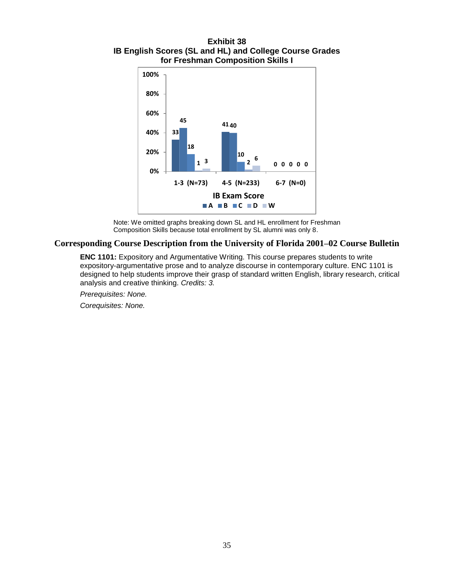<span id="page-40-0"></span>**Exhibit 38 IB English Scores (SL and HL) and College Course Grades for Freshman Composition Skills I**



Note: We omitted graphs breaking down SL and HL enrollment for Freshman Composition Skills because total enrollment by SL alumni was only 8.

#### **Corresponding Course Description from the University of Florida 2001–02 Course Bulletin**

**ENC 1101:** Expository and Argumentative Writing. This course prepares students to write expository-argumentative prose and to analyze discourse in contemporary culture. ENC 1101 is designed to help students improve their grasp of standard written English, library research, critical analysis and creative thinking. *Credits: 3.*

*Prerequisites: None.*

*Corequisites: None.*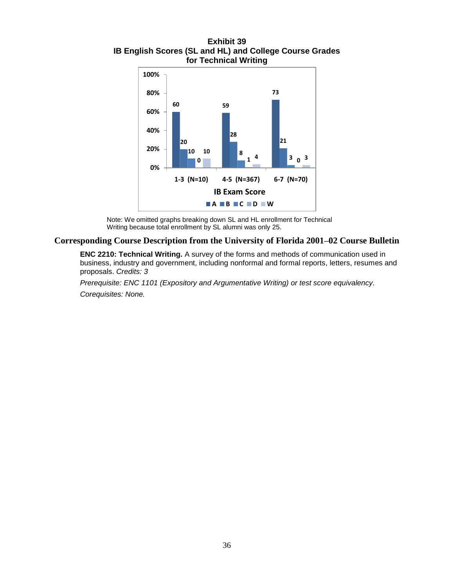<span id="page-41-0"></span>**Exhibit 39 IB English Scores (SL and HL) and College Course Grades for Technical Writing**



Note: We omitted graphs breaking down SL and HL enrollment for Technical Writing because total enrollment by SL alumni was only 25.

#### **Corresponding Course Description from the University of Florida 2001–02 Course Bulletin**

**ENC 2210: Technical Writing.** A survey of the forms and methods of communication used in business, industry and government, including nonformal and formal reports, letters, resumes and proposals. *Credits: 3*

*Prerequisite: ENC 1101 (Expository and Argumentative Writing) or test score equivalency. Corequisites: None.*